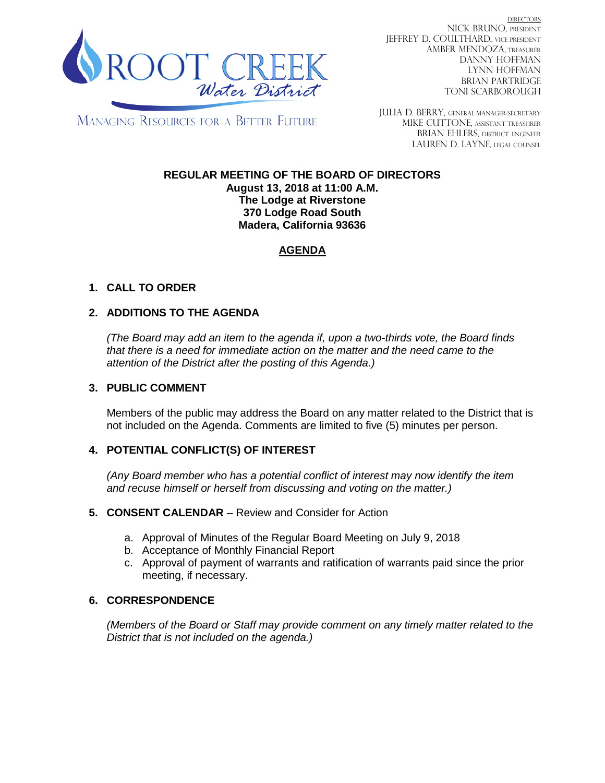

DIRECTORS NICK BRUNO, PRESIDENT JEFFREY D. COULTHARD, VICE PRESIDENT AMBER MENDOZA, TREASURER DANNY HOFFMAN LYNN HOFFMAN BRIAN PARTRIDGE TONI SCARBOROUGH

MANAGING RESOURCES FOR A BETTER FUTURE

JULIA D. BERRY, GENERAL MANAGER/secretary MIKE CUTTONE, Assistant treasurer BRIAN EHLERS, DISTRICT ENGINEER LAUREN D. LAYNE, LEGAL COUNSEL

#### **REGULAR MEETING OF THE BOARD OF DIRECTORS August 13, 2018 at 11:00 A.M. The Lodge at Riverstone 370 Lodge Road South Madera, California 93636**

# **AGENDA**

# **1. CALL TO ORDER**

## **2. ADDITIONS TO THE AGENDA**

*(The Board may add an item to the agenda if, upon a two-thirds vote, the Board finds that there is a need for immediate action on the matter and the need came to the attention of the District after the posting of this Agenda.)*

### **3. PUBLIC COMMENT**

Members of the public may address the Board on any matter related to the District that is not included on the Agenda. Comments are limited to five (5) minutes per person.

## **4. POTENTIAL CONFLICT(S) OF INTEREST**

*(Any Board member who has a potential conflict of interest may now identify the item and recuse himself or herself from discussing and voting on the matter.)*

#### **5. CONSENT CALENDAR** – Review and Consider for Action

- a. Approval of Minutes of the Regular Board Meeting on July 9, 2018
- b. Acceptance of Monthly Financial Report
- c. Approval of payment of warrants and ratification of warrants paid since the prior meeting, if necessary.

## **6. CORRESPONDENCE**

*(Members of the Board or Staff may provide comment on any timely matter related to the District that is not included on the agenda.)*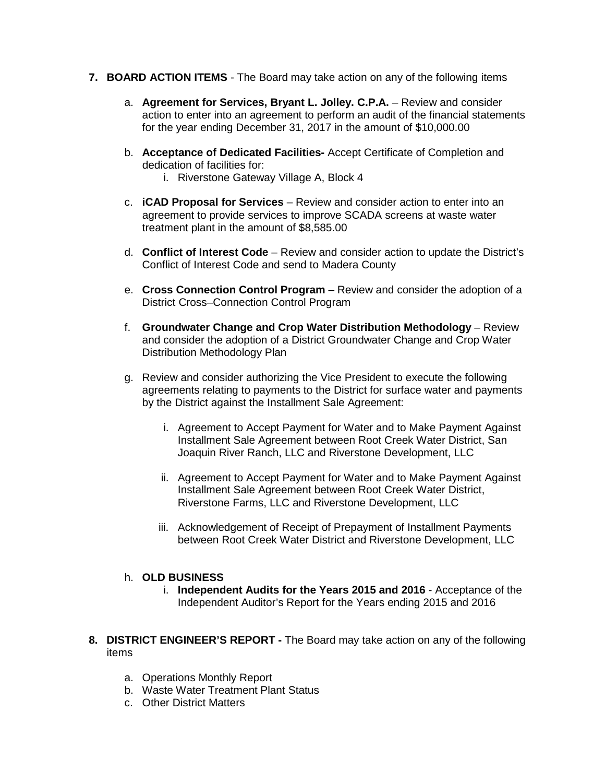- **7. BOARD ACTION ITEMS**  The Board may take action on any of the following items
	- a. **Agreement for Services, Bryant L. Jolley. C.P.A.** Review and consider action to enter into an agreement to perform an audit of the financial statements for the year ending December 31, 2017 in the amount of \$10,000.00
	- b. **Acceptance of Dedicated Facilities-** Accept Certificate of Completion and dedication of facilities for:
		- i. Riverstone Gateway Village A, Block 4
	- c. **iCAD Proposal for Services** Review and consider action to enter into an agreement to provide services to improve SCADA screens at waste water treatment plant in the amount of \$8,585.00
	- d. **Conflict of Interest Code** Review and consider action to update the District's Conflict of Interest Code and send to Madera County
	- e. **Cross Connection Control Program** Review and consider the adoption of a District Cross–Connection Control Program
	- f. **Groundwater Change and Crop Water Distribution Methodology** Review and consider the adoption of a District Groundwater Change and Crop Water Distribution Methodology Plan
	- g. Review and consider authorizing the Vice President to execute the following agreements relating to payments to the District for surface water and payments by the District against the Installment Sale Agreement:
		- i. Agreement to Accept Payment for Water and to Make Payment Against Installment Sale Agreement between Root Creek Water District, San Joaquin River Ranch, LLC and Riverstone Development, LLC
		- ii. Agreement to Accept Payment for Water and to Make Payment Against Installment Sale Agreement between Root Creek Water District, Riverstone Farms, LLC and Riverstone Development, LLC
		- iii. Acknowledgement of Receipt of Prepayment of Installment Payments between Root Creek Water District and Riverstone Development, LLC

#### h. **OLD BUSINESS**

- i. **Independent Audits for the Years 2015 and 2016** Acceptance of the Independent Auditor's Report for the Years ending 2015 and 2016
- **8. DISTRICT ENGINEER'S REPORT -** The Board may take action on any of the following items
	- a. Operations Monthly Report
	- b. Waste Water Treatment Plant Status
	- c. Other District Matters